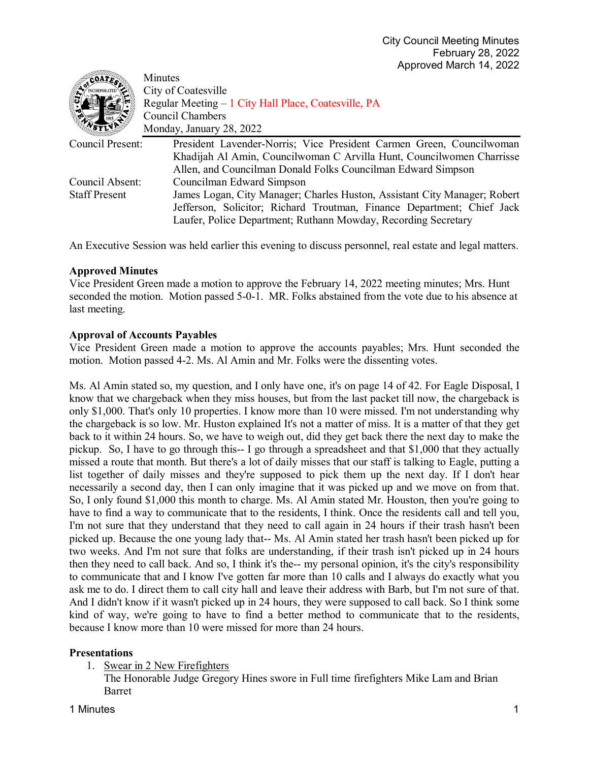| Minutes                                                                                  |
|------------------------------------------------------------------------------------------|
| City of Coatesville                                                                      |
| Regular Meeting - 1 City Hall Place, Coatesville, PA                                     |
| Council Chambers                                                                         |
| Monday, January 28, 2022                                                                 |
| Council Present:<br>President Lavender-Norris; Vice President Carmen Green, Councilwoman |
| Khadijah Al Amin, Councilwoman C Arvilla Hunt, Councilwomen Charrisse                    |
| Allen, and Councilman Donald Folks Councilman Edward Simpson                             |
| Council Absent:<br>Councilman Edward Simpson                                             |
| James Logan, City Manager; Charles Huston, Assistant City Manager; Robert                |
| Jefferson, Solicitor; Richard Troutman, Finance Department; Chief Jack                   |
| Laufer, Police Department; Ruthann Mowday, Recording Secretary                           |
|                                                                                          |

An Executive Session was held earlier this evening to discuss personnel, real estate and legal matters.

# **Approved Minutes**

Vice President Green made a motion to approve the February 14, 2022 meeting minutes; Mrs. Hunt seconded the motion. Motion passed 5-0-1. MR. Folks abstained from the vote due to his absence at last meeting.

#### **Approval of Accounts Payables**

Vice President Green made a motion to approve the accounts payables; Mrs. Hunt seconded the motion. Motion passed 4-2. Ms. Al Amin and Mr. Folks were the dissenting votes.

Ms. Al Amin stated so, my question, and I only have one, it's on page 14 of 42. For Eagle Disposal, I know that we chargeback when they miss houses, but from the last packet till now, the chargeback is only \$1,000. That's only 10 properties. I know more than 10 were missed. I'm not understanding why the chargeback is so low. Mr. Huston explained It's not a matter of miss. It is a matter of that they get back to it within 24 hours. So, we have to weigh out, did they get back there the next day to make the pickup. So, I have to go through this-- I go through a spreadsheet and that \$1,000 that they actually missed a route that month. But there's a lot of daily misses that our staff is talking to Eagle, putting a list together of daily misses and they're supposed to pick them up the next day. If I don't hear necessarily a second day, then I can only imagine that it was picked up and we move on from that. So, I only found \$1,000 this month to charge. Ms. Al Amin stated Mr. Houston, then you're going to have to find a way to communicate that to the residents, I think. Once the residents call and tell you, I'm not sure that they understand that they need to call again in 24 hours if their trash hasn't been picked up. Because the one young lady that-- Ms. Al Amin stated her trash hasn't been picked up for two weeks. And I'm not sure that folks are understanding, if their trash isn't picked up in 24 hours then they need to call back. And so, I think it's the-- my personal opinion, it's the city's responsibility to communicate that and I know I've gotten far more than 10 calls and I always do exactly what you ask me to do. I direct them to call city hall and leave their address with Barb, but I'm not sure of that. And I didn't know if it wasn't picked up in 24 hours, they were supposed to call back. So I think some kind of way, we're going to have to find a better method to communicate that to the residents, because I know more than 10 were missed for more than 24 hours.

# **Presentations**

1. Swear in 2 New Firefighters

The Honorable Judge Gregory Hines swore in Full time firefighters Mike Lam and Brian Barret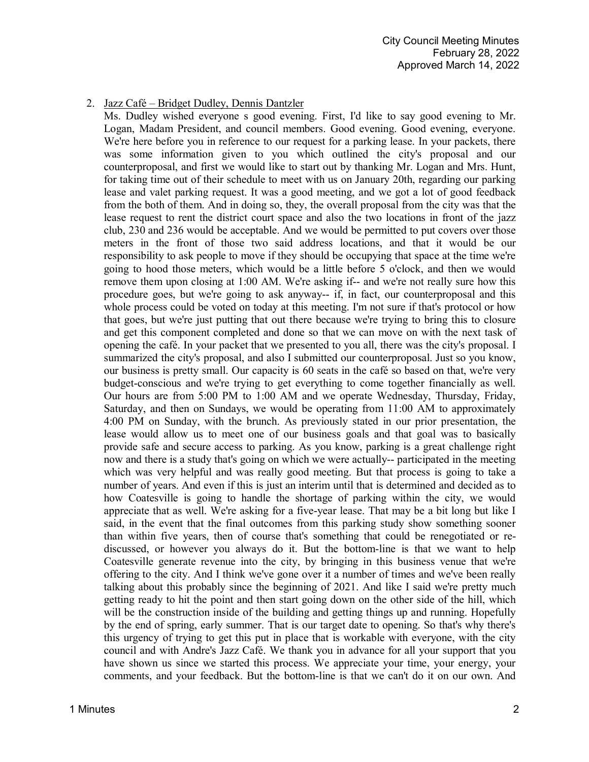# 2. Jazz Café – Bridget Dudley, Dennis Dantzler

Ms. Dudley wished everyone s good evening. First, I'd like to say good evening to Mr. Logan, Madam President, and council members. Good evening. Good evening, everyone. We're here before you in reference to our request for a parking lease. In your packets, there was some information given to you which outlined the city's proposal and our counterproposal, and first we would like to start out by thanking Mr. Logan and Mrs. Hunt, for taking time out of their schedule to meet with us on January 20th, regarding our parking lease and valet parking request. It was a good meeting, and we got a lot of good feedback from the both of them. And in doing so, they, the overall proposal from the city was that the lease request to rent the district court space and also the two locations in front of the jazz club, 230 and 236 would be acceptable. And we would be permitted to put covers over those meters in the front of those two said address locations, and that it would be our responsibility to ask people to move if they should be occupying that space at the time we're going to hood those meters, which would be a little before 5 o'clock, and then we would remove them upon closing at 1:00 AM. We're asking if-- and we're not really sure how this procedure goes, but we're going to ask anyway-- if, in fact, our counterproposal and this whole process could be voted on today at this meeting. I'm not sure if that's protocol or how that goes, but we're just putting that out there because we're trying to bring this to closure and get this component completed and done so that we can move on with the next task of opening the café. In your packet that we presented to you all, there was the city's proposal. I summarized the city's proposal, and also I submitted our counterproposal. Just so you know, our business is pretty small. Our capacity is 60 seats in the café so based on that, we're very budget-conscious and we're trying to get everything to come together financially as well. Our hours are from 5:00 PM to 1:00 AM and we operate Wednesday, Thursday, Friday, Saturday, and then on Sundays, we would be operating from 11:00 AM to approximately 4:00 PM on Sunday, with the brunch. As previously stated in our prior presentation, the lease would allow us to meet one of our business goals and that goal was to basically provide safe and secure access to parking. As you know, parking is a great challenge right now and there is a study that's going on which we were actually-- participated in the meeting which was very helpful and was really good meeting. But that process is going to take a number of years. And even if this is just an interim until that is determined and decided as to how Coatesville is going to handle the shortage of parking within the city, we would appreciate that as well. We're asking for a five-year lease. That may be a bit long but like I said, in the event that the final outcomes from this parking study show something sooner than within five years, then of course that's something that could be renegotiated or rediscussed, or however you always do it. But the bottom-line is that we want to help Coatesville generate revenue into the city, by bringing in this business venue that we're offering to the city. And I think we've gone over it a number of times and we've been really talking about this probably since the beginning of 2021. And like I said we're pretty much getting ready to hit the point and then start going down on the other side of the hill, which will be the construction inside of the building and getting things up and running. Hopefully by the end of spring, early summer. That is our target date to opening. So that's why there's this urgency of trying to get this put in place that is workable with everyone, with the city council and with Andre's Jazz Café. We thank you in advance for all your support that you have shown us since we started this process. We appreciate your time, your energy, your comments, and your feedback. But the bottom-line is that we can't do it on our own. And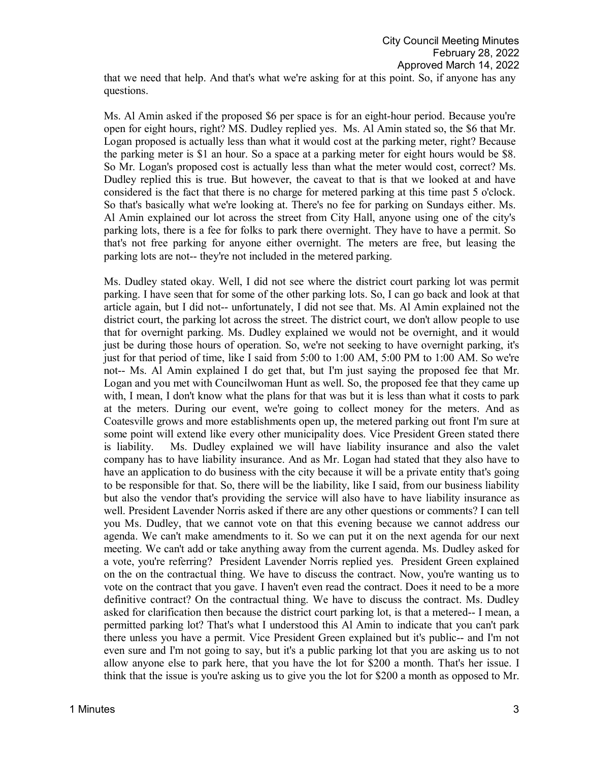questions. Ms. Al Amin asked if the proposed \$6 per space is for an eight-hour period. Because you're open for eight hours, right? MS. Dudley replied yes. Ms. Al Amin stated so, the \$6 that Mr. Logan proposed is actually less than what it would cost at the parking meter, right? Because the parking meter is \$1 an hour. So a space at a parking meter for eight hours would be \$8. So Mr. Logan's proposed cost is actually less than what the meter would cost, correct? Ms.

Dudley replied this is true. But however, the caveat to that is that we looked at and have considered is the fact that there is no charge for metered parking at this time past 5 o'clock. So that's basically what we're looking at. There's no fee for parking on Sundays either. Ms. Al Amin explained our lot across the street from City Hall, anyone using one of the city's parking lots, there is a fee for folks to park there overnight. They have to have a permit. So that's not free parking for anyone either overnight. The meters are free, but leasing the parking lots are not-- they're not included in the metered parking.

Ms. Dudley stated okay. Well, I did not see where the district court parking lot was permit parking. I have seen that for some of the other parking lots. So, I can go back and look at that article again, but I did not-- unfortunately, I did not see that. Ms. Al Amin explained not the district court, the parking lot across the street. The district court, we don't allow people to use that for overnight parking. Ms. Dudley explained we would not be overnight, and it would just be during those hours of operation. So, we're not seeking to have overnight parking, it's just for that period of time, like I said from 5:00 to 1:00 AM, 5:00 PM to 1:00 AM. So we're not-- Ms. Al Amin explained I do get that, but I'm just saying the proposed fee that Mr. Logan and you met with Councilwoman Hunt as well. So, the proposed fee that they came up with, I mean, I don't know what the plans for that was but it is less than what it costs to park at the meters. During our event, we're going to collect money for the meters. And as Coatesville grows and more establishments open up, the metered parking out front I'm sure at some point will extend like every other municipality does. Vice President Green stated there is liability. Ms. Dudley explained we will have liability insurance and also the valet company has to have liability insurance. And as Mr. Logan had stated that they also have to have an application to do business with the city because it will be a private entity that's going to be responsible for that. So, there will be the liability, like I said, from our business liability but also the vendor that's providing the service will also have to have liability insurance as well. President Lavender Norris asked if there are any other questions or comments? I can tell you Ms. Dudley, that we cannot vote on that this evening because we cannot address our agenda. We can't make amendments to it. So we can put it on the next agenda for our next meeting. We can't add or take anything away from the current agenda. Ms. Dudley asked for a vote, you're referring? President Lavender Norris replied yes. President Green explained on the on the contractual thing. We have to discuss the contract. Now, you're wanting us to vote on the contract that you gave. I haven't even read the contract. Does it need to be a more definitive contract? On the contractual thing. We have to discuss the contract. Ms. Dudley asked for clarification then because the district court parking lot, is that a metered-- I mean, a permitted parking lot? That's what I understood this Al Amin to indicate that you can't park there unless you have a permit. Vice President Green explained but it's public-- and I'm not even sure and I'm not going to say, but it's a public parking lot that you are asking us to not allow anyone else to park here, that you have the lot for \$200 a month. That's her issue. I think that the issue is you're asking us to give you the lot for \$200 a month as opposed to Mr.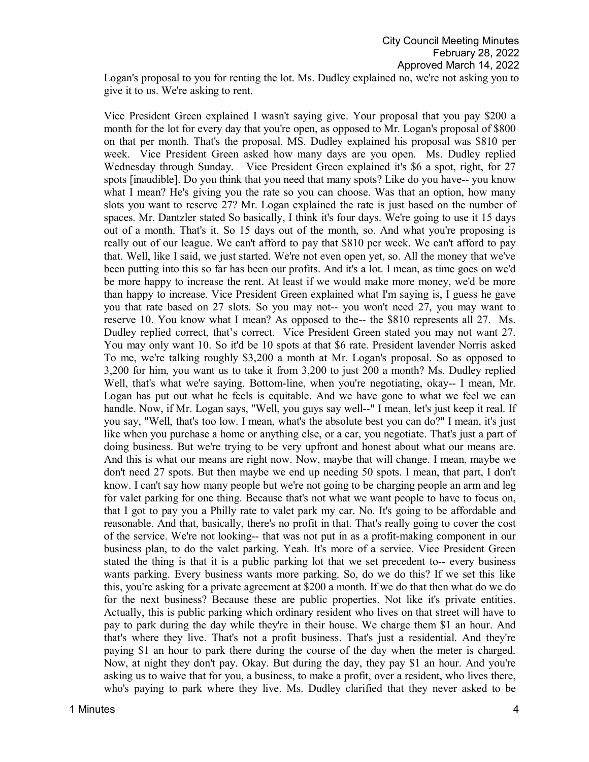Logan's proposal to you for renting the lot. Ms. Dudley explained no, we're not asking you to give it to us. We're asking to rent.

Vice President Green explained I wasn't saying give. Your proposal that you pay \$200 a month for the lot for every day that you're open, as opposed to Mr. Logan's proposal of \$800 on that per month. That's the proposal. MS. Dudley explained his proposal was \$810 per week. Vice President Green asked how many days are you open. Ms. Dudley replied Wednesday through Sunday. Vice President Green explained it's \$6 a spot, right, for 27 spots [inaudible]. Do you think that you need that many spots? Like do you have-- you know what I mean? He's giving you the rate so you can choose. Was that an option, how many slots you want to reserve 27? Mr. Logan explained the rate is just based on the number of spaces. Mr. Dantzler stated So basically, I think it's four days. We're going to use it 15 days out of a month. That's it. So 15 days out of the month, so. And what you're proposing is really out of our league. We can't afford to pay that \$810 per week. We can't afford to pay that. Well, like I said, we just started. We're not even open yet, so. All the money that we've been putting into this so far has been our profits. And it's a lot. I mean, as time goes on we'd be more happy to increase the rent. At least if we would make more money, we'd be more than happy to increase. Vice President Green explained what I'm saying is, I guess he gave you that rate based on 27 slots. So you may not-- you won't need 27, you may want to reserve 10. You know what I mean? As opposed to the-- the \$810 represents all 27. Ms. Dudley replied correct, that's correct. Vice President Green stated you may not want 27. You may only want 10. So it'd be 10 spots at that \$6 rate. President lavender Norris asked To me, we're talking roughly \$3,200 a month at Mr. Logan's proposal. So as opposed to 3,200 for him, you want us to take it from 3,200 to just 200 a month? Ms. Dudley replied Well, that's what we're saying. Bottom-line, when you're negotiating, okay-- I mean, Mr. Logan has put out what he feels is equitable. And we have gone to what we feel we can handle. Now, if Mr. Logan says, "Well, you guys say well--" I mean, let's just keep it real. If you say, "Well, that's too low. I mean, what's the absolute best you can do?" I mean, it's just like when you purchase a home or anything else, or a car, you negotiate. That's just a part of doing business. But we're trying to be very upfront and honest about what our means are. And this is what our means are right now. Now, maybe that will change. I mean, maybe we don't need 27 spots. But then maybe we end up needing 50 spots. I mean, that part, I don't know. I can't say how many people but we're not going to be charging people an arm and leg for valet parking for one thing. Because that's not what we want people to have to focus on, that I got to pay you a Philly rate to valet park my car. No. It's going to be affordable and reasonable. And that, basically, there's no profit in that. That's really going to cover the cost of the service. We're not looking-- that was not put in as a profit-making component in our business plan, to do the valet parking. Yeah. It's more of a service. Vice President Green stated the thing is that it is a public parking lot that we set precedent to-- every business wants parking. Every business wants more parking. So, do we do this? If we set this like this, you're asking for a private agreement at \$200 a month. If we do that then what do we do for the next business? Because these are public properties. Not like it's private entities. Actually, this is public parking which ordinary resident who lives on that street will have to pay to park during the day while they're in their house. We charge them \$1 an hour. And that's where they live. That's not a profit business. That's just a residential. And they're paying \$1 an hour to park there during the course of the day when the meter is charged. Now, at night they don't pay. Okay. But during the day, they pay \$1 an hour. And you're asking us to waive that for you, a business, to make a profit, over a resident, who lives there, who's paying to park where they live. Ms. Dudley clarified that they never asked to be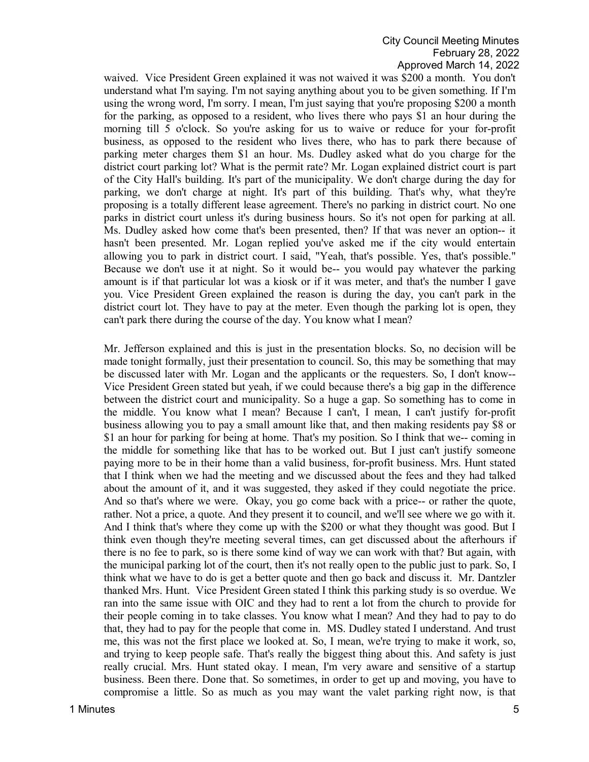waived. Vice President Green explained it was not waived it was \$200 a month. You don't understand what I'm saying. I'm not saying anything about you to be given something. If I'm using the wrong word, I'm sorry. I mean, I'm just saying that you're proposing \$200 a month for the parking, as opposed to a resident, who lives there who pays \$1 an hour during the morning till 5 o'clock. So you're asking for us to waive or reduce for your for-profit business, as opposed to the resident who lives there, who has to park there because of parking meter charges them \$1 an hour. Ms. Dudley asked what do you charge for the district court parking lot? What is the permit rate? Mr. Logan explained district court is part of the City Hall's building. It's part of the municipality. We don't charge during the day for parking, we don't charge at night. It's part of this building. That's why, what they're proposing is a totally different lease agreement. There's no parking in district court. No one parks in district court unless it's during business hours. So it's not open for parking at all. Ms. Dudley asked how come that's been presented, then? If that was never an option-- it hasn't been presented. Mr. Logan replied you've asked me if the city would entertain allowing you to park in district court. I said, "Yeah, that's possible. Yes, that's possible." Because we don't use it at night. So it would be-- you would pay whatever the parking amount is if that particular lot was a kiosk or if it was meter, and that's the number I gave you. Vice President Green explained the reason is during the day, you can't park in the district court lot. They have to pay at the meter. Even though the parking lot is open, they can't park there during the course of the day. You know what I mean?

Mr. Jefferson explained and this is just in the presentation blocks. So, no decision will be made tonight formally, just their presentation to council. So, this may be something that may be discussed later with Mr. Logan and the applicants or the requesters. So, I don't know-- Vice President Green stated but yeah, if we could because there's a big gap in the difference between the district court and municipality. So a huge a gap. So something has to come in the middle. You know what I mean? Because I can't, I mean, I can't justify for-profit business allowing you to pay a small amount like that, and then making residents pay \$8 or \$1 an hour for parking for being at home. That's my position. So I think that we-- coming in the middle for something like that has to be worked out. But I just can't justify someone paying more to be in their home than a valid business, for-profit business. Mrs. Hunt stated that I think when we had the meeting and we discussed about the fees and they had talked about the amount of it, and it was suggested, they asked if they could negotiate the price. And so that's where we were. Okay, you go come back with a price-- or rather the quote, rather. Not a price, a quote. And they present it to council, and we'll see where we go with it. And I think that's where they come up with the \$200 or what they thought was good. But I think even though they're meeting several times, can get discussed about the afterhours if there is no fee to park, so is there some kind of way we can work with that? But again, with the municipal parking lot of the court, then it's not really open to the public just to park. So, I think what we have to do is get a better quote and then go back and discuss it. Mr. Dantzler thanked Mrs. Hunt. Vice President Green stated I think this parking study is so overdue. We ran into the same issue with OIC and they had to rent a lot from the church to provide for their people coming in to take classes. You know what I mean? And they had to pay to do that, they had to pay for the people that come in. MS. Dudley stated I understand. And trust me, this was not the first place we looked at. So, I mean, we're trying to make it work, so, and trying to keep people safe. That's really the biggest thing about this. And safety is just really crucial. Mrs. Hunt stated okay. I mean, I'm very aware and sensitive of a startup business. Been there. Done that. So sometimes, in order to get up and moving, you have to compromise a little. So as much as you may want the valet parking right now, is that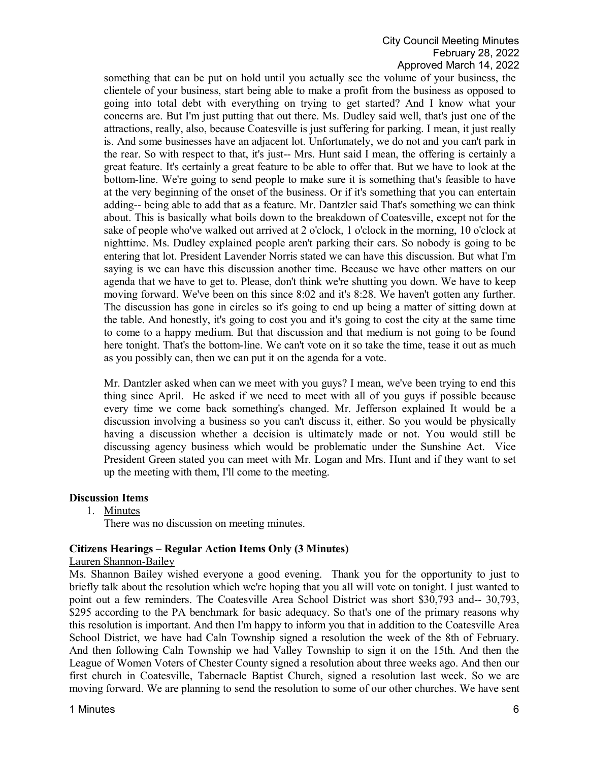something that can be put on hold until you actually see the volume of your business, the clientele of your business, start being able to make a profit from the business as opposed to going into total debt with everything on trying to get started? And I know what your concerns are. But I'm just putting that out there. Ms. Dudley said well, that's just one of the attractions, really, also, because Coatesville is just suffering for parking. I mean, it just really is. And some businesses have an adjacent lot. Unfortunately, we do not and you can't park in the rear. So with respect to that, it's just-- Mrs. Hunt said I mean, the offering is certainly a great feature. It's certainly a great feature to be able to offer that. But we have to look at the bottom-line. We're going to send people to make sure it is something that's feasible to have at the very beginning of the onset of the business. Or if it's something that you can entertain adding-- being able to add that as a feature. Mr. Dantzler said That's something we can think about. This is basically what boils down to the breakdown of Coatesville, except not for the sake of people who've walked out arrived at 2 o'clock, 1 o'clock in the morning, 10 o'clock at nighttime. Ms. Dudley explained people aren't parking their cars. So nobody is going to be entering that lot. President Lavender Norris stated we can have this discussion. But what I'm saying is we can have this discussion another time. Because we have other matters on our agenda that we have to get to. Please, don't think we're shutting you down. We have to keep moving forward. We've been on this since 8:02 and it's 8:28. We haven't gotten any further. The discussion has gone in circles so it's going to end up being a matter of sitting down at the table. And honestly, it's going to cost you and it's going to cost the city at the same time to come to a happy medium. But that discussion and that medium is not going to be found here tonight. That's the bottom-line. We can't vote on it so take the time, tease it out as much as you possibly can, then we can put it on the agenda for a vote.

Mr. Dantzler asked when can we meet with you guys? I mean, we've been trying to end this thing since April. He asked if we need to meet with all of you guys if possible because every time we come back something's changed. Mr. Jefferson explained It would be a discussion involving a business so you can't discuss it, either. So you would be physically having a discussion whether a decision is ultimately made or not. You would still be discussing agency business which would be problematic under the Sunshine Act. Vice President Green stated you can meet with Mr. Logan and Mrs. Hunt and if they want to set up the meeting with them, I'll come to the meeting.

# **Discussion Items**

1. Minutes

There was no discussion on meeting minutes.

#### **Citizens Hearings – Regular Action Items Only (3 Minutes)**

#### Lauren Shannon-Bailey

Ms. Shannon Bailey wished everyone a good evening. Thank you for the opportunity to just to briefly talk about the resolution which we're hoping that you all will vote on tonight. I just wanted to point out a few reminders. The Coatesville Area School District was short \$30,793 and-- 30,793, \$295 according to the PA benchmark for basic adequacy. So that's one of the primary reasons why this resolution is important. And then I'm happy to inform you that in addition to the Coatesville Area School District, we have had Caln Township signed a resolution the week of the 8th of February. And then following Caln Township we had Valley Township to sign it on the 15th. And then the League of Women Voters of Chester County signed a resolution about three weeks ago. And then our first church in Coatesville, Tabernacle Baptist Church, signed a resolution last week. So we are moving forward. We are planning to send the resolution to some of our other churches. We have sent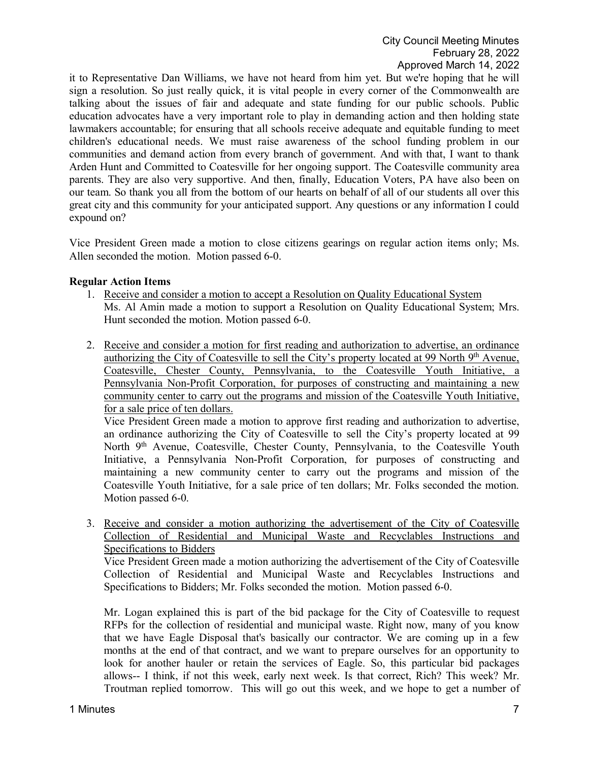it to Representative Dan Williams, we have not heard from him yet. But we're hoping that he will sign a resolution. So just really quick, it is vital people in every corner of the Commonwealth are talking about the issues of fair and adequate and state funding for our public schools. Public education advocates have a very important role to play in demanding action and then holding state lawmakers accountable; for ensuring that all schools receive adequate and equitable funding to meet children's educational needs. We must raise awareness of the school funding problem in our communities and demand action from every branch of government. And with that, I want to thank Arden Hunt and Committed to Coatesville for her ongoing support. The Coatesville community area parents. They are also very supportive. And then, finally, Education Voters, PA have also been on our team. So thank you all from the bottom of our hearts on behalf of all of our students all over this great city and this community for your anticipated support. Any questions or any information I could expound on?

Vice President Green made a motion to close citizens gearings on regular action items only; Ms. Allen seconded the motion. Motion passed 6-0.

# **Regular Action Items**

- 1. Receive and consider a motion to accept a Resolution on Quality Educational System Ms. Al Amin made a motion to support a Resolution on Quality Educational System; Mrs. Hunt seconded the motion. Motion passed 6-0.
- 2. Receive and consider a motion for first reading and authorization to advertise, an ordinance authorizing the City of Coatesville to sell the City's property located at 99 North 9<sup>th</sup> Avenue, Coatesville, Chester County, Pennsylvania, to the Coatesville Youth Initiative, a Pennsylvania Non-Profit Corporation, for purposes of constructing and maintaining a new community center to carry out the programs and mission of the Coatesville Youth Initiative, for a sale price of ten dollars.

Vice President Green made a motion to approve first reading and authorization to advertise, an ordinance authorizing the City of Coatesville to sell the City's property located at 99 North 9<sup>th</sup> Avenue, Coatesville, Chester County, Pennsylvania, to the Coatesville Youth Initiative, a Pennsylvania Non-Profit Corporation, for purposes of constructing and maintaining a new community center to carry out the programs and mission of the Coatesville Youth Initiative, for a sale price of ten dollars; Mr. Folks seconded the motion. Motion passed 6-0.

3. Receive and consider a motion authorizing the advertisement of the City of Coatesville Collection of Residential and Municipal Waste and Recyclables Instructions and Specifications to Bidders

Vice President Green made a motion authorizing the advertisement of the City of Coatesville Collection of Residential and Municipal Waste and Recyclables Instructions and Specifications to Bidders; Mr. Folks seconded the motion. Motion passed 6-0.

Mr. Logan explained this is part of the bid package for the City of Coatesville to request RFPs for the collection of residential and municipal waste. Right now, many of you know that we have Eagle Disposal that's basically our contractor. We are coming up in a few months at the end of that contract, and we want to prepare ourselves for an opportunity to look for another hauler or retain the services of Eagle. So, this particular bid packages allows-- I think, if not this week, early next week. Is that correct, Rich? This week? Mr. Troutman replied tomorrow. This will go out this week, and we hope to get a number of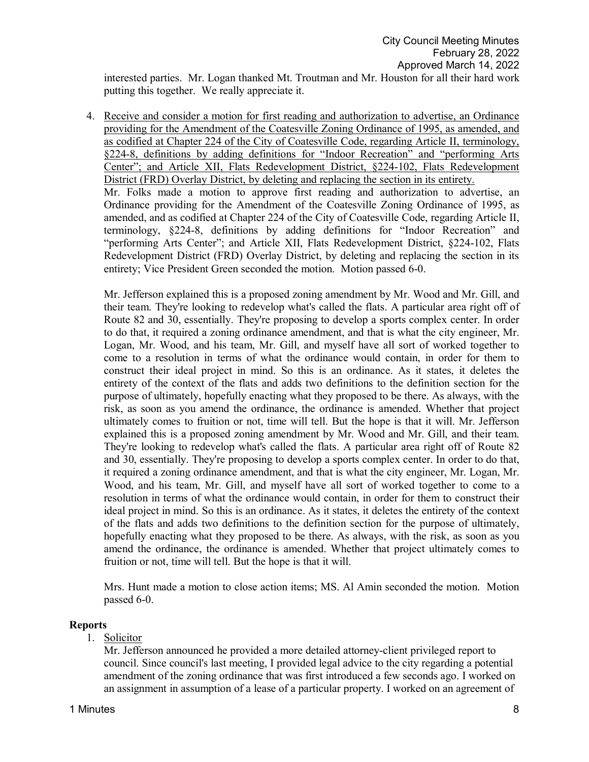interested parties. Mr. Logan thanked Mt. Troutman and Mr. Houston for all their hard work putting this together. We really appreciate it.

4. Receive and consider a motion for first reading and authorization to advertise, an Ordinance providing for the Amendment of the Coatesville Zoning Ordinance of 1995, as amended, and as codified at Chapter 224 of the City of Coatesville Code, regarding Article II, terminology, §224-8, definitions by adding definitions for "Indoor Recreation" and "performing Arts Center"; and Article XII, Flats Redevelopment District, §224-102, Flats Redevelopment District (FRD) Overlay District, by deleting and replacing the section in its entirety. Mr. Folks made a motion to approve first reading and authorization to advertise, an Ordinance providing for the Amendment of the Coatesville Zoning Ordinance of 1995, as amended, and as codified at Chapter 224 of the City of Coatesville Code, regarding Article II, terminology, §224-8, definitions by adding definitions for "Indoor Recreation" and "performing Arts Center"; and Article XII, Flats Redevelopment District, §224-102, Flats Redevelopment District (FRD) Overlay District, by deleting and replacing the section in its entirety; Vice President Green seconded the motion. Motion passed 6-0.

Mr. Jefferson explained this is a proposed zoning amendment by Mr. Wood and Mr. Gill, and their team. They're looking to redevelop what's called the flats. A particular area right off of Route 82 and 30, essentially. They're proposing to develop a sports complex center. In order to do that, it required a zoning ordinance amendment, and that is what the city engineer, Mr. Logan, Mr. Wood, and his team, Mr. Gill, and myself have all sort of worked together to come to a resolution in terms of what the ordinance would contain, in order for them to construct their ideal project in mind. So this is an ordinance. As it states, it deletes the entirety of the context of the flats and adds two definitions to the definition section for the purpose of ultimately, hopefully enacting what they proposed to be there. As always, with the risk, as soon as you amend the ordinance, the ordinance is amended. Whether that project ultimately comes to fruition or not, time will tell. But the hope is that it will. Mr. Jefferson explained this is a proposed zoning amendment by Mr. Wood and Mr. Gill, and their team. They're looking to redevelop what's called the flats. A particular area right off of Route 82 and 30, essentially. They're proposing to develop a sports complex center. In order to do that, it required a zoning ordinance amendment, and that is what the city engineer, Mr. Logan, Mr. Wood, and his team, Mr. Gill, and myself have all sort of worked together to come to a resolution in terms of what the ordinance would contain, in order for them to construct their ideal project in mind. So this is an ordinance. As it states, it deletes the entirety of the context of the flats and adds two definitions to the definition section for the purpose of ultimately, hopefully enacting what they proposed to be there. As always, with the risk, as soon as you amend the ordinance, the ordinance is amended. Whether that project ultimately comes to fruition or not, time will tell. But the hope is that it will.

Mrs. Hunt made a motion to close action items; MS. Al Amin seconded the motion. Motion passed 6-0.

#### **Reports**

# 1. Solicitor

Mr. Jefferson announced he provided a more detailed attorney-client privileged report to council. Since council's last meeting, I provided legal advice to the city regarding a potential amendment of the zoning ordinance that was first introduced a few seconds ago. I worked on an assignment in assumption of a lease of a particular property. I worked on an agreement of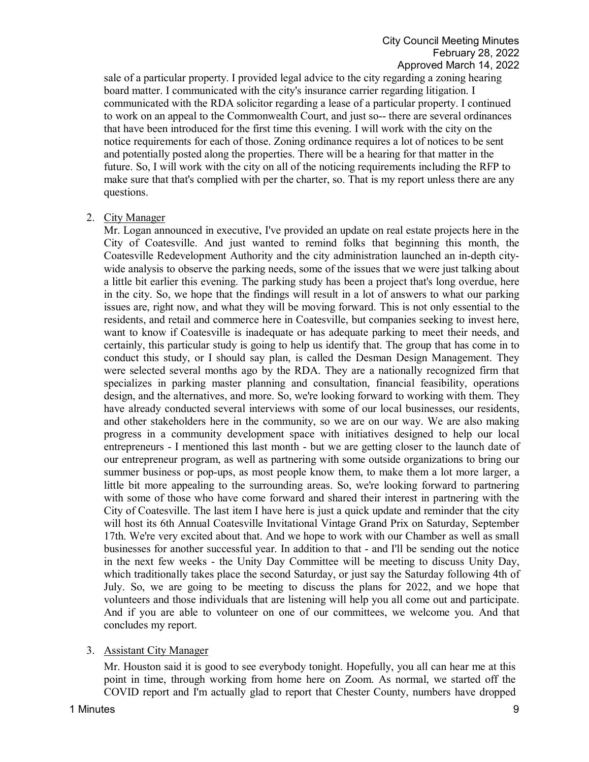sale of a particular property. I provided legal advice to the city regarding a zoning hearing board matter. I communicated with the city's insurance carrier regarding litigation. I communicated with the RDA solicitor regarding a lease of a particular property. I continued to work on an appeal to the Commonwealth Court, and just so-- there are several ordinances that have been introduced for the first time this evening. I will work with the city on the notice requirements for each of those. Zoning ordinance requires a lot of notices to be sent and potentially posted along the properties. There will be a hearing for that matter in the future. So, I will work with the city on all of the noticing requirements including the RFP to make sure that that's complied with per the charter, so. That is my report unless there are any questions.

# 2. City Manager

Mr. Logan announced in executive, I've provided an update on real estate projects here in the City of Coatesville. And just wanted to remind folks that beginning this month, the Coatesville Redevelopment Authority and the city administration launched an in-depth citywide analysis to observe the parking needs, some of the issues that we were just talking about a little bit earlier this evening. The parking study has been a project that's long overdue, here in the city. So, we hope that the findings will result in a lot of answers to what our parking issues are, right now, and what they will be moving forward. This is not only essential to the residents, and retail and commerce here in Coatesville, but companies seeking to invest here, want to know if Coatesville is inadequate or has adequate parking to meet their needs, and certainly, this particular study is going to help us identify that. The group that has come in to conduct this study, or I should say plan, is called the Desman Design Management. They were selected several months ago by the RDA. They are a nationally recognized firm that specializes in parking master planning and consultation, financial feasibility, operations design, and the alternatives, and more. So, we're looking forward to working with them. They have already conducted several interviews with some of our local businesses, our residents, and other stakeholders here in the community, so we are on our way. We are also making progress in a community development space with initiatives designed to help our local entrepreneurs - I mentioned this last month - but we are getting closer to the launch date of our entrepreneur program, as well as partnering with some outside organizations to bring our summer business or pop-ups, as most people know them, to make them a lot more larger, a little bit more appealing to the surrounding areas. So, we're looking forward to partnering with some of those who have come forward and shared their interest in partnering with the City of Coatesville. The last item I have here is just a quick update and reminder that the city will host its 6th Annual Coatesville Invitational Vintage Grand Prix on Saturday, September 17th. We're very excited about that. And we hope to work with our Chamber as well as small businesses for another successful year. In addition to that - and I'll be sending out the notice in the next few weeks - the Unity Day Committee will be meeting to discuss Unity Day, which traditionally takes place the second Saturday, or just say the Saturday following 4th of July. So, we are going to be meeting to discuss the plans for 2022, and we hope that volunteers and those individuals that are listening will help you all come out and participate. And if you are able to volunteer on one of our committees, we welcome you. And that concludes my report.

# 3. Assistant City Manager

Mr. Houston said it is good to see everybody tonight. Hopefully, you all can hear me at this point in time, through working from home here on Zoom. As normal, we started off the COVID report and I'm actually glad to report that Chester County, numbers have dropped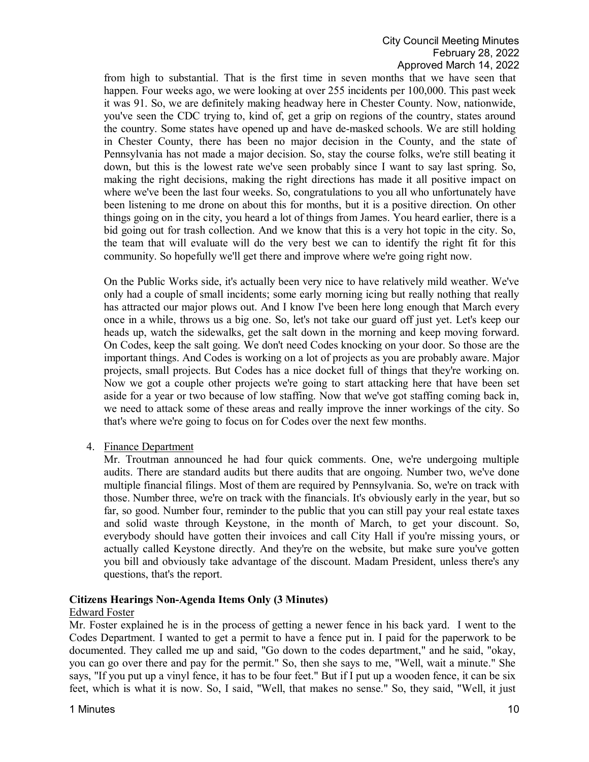from high to substantial. That is the first time in seven months that we have seen that happen. Four weeks ago, we were looking at over 255 incidents per 100,000. This past week it was 91. So, we are definitely making headway here in Chester County. Now, nationwide, you've seen the CDC trying to, kind of, get a grip on regions of the country, states around the country. Some states have opened up and have de-masked schools. We are still holding in Chester County, there has been no major decision in the County, and the state of Pennsylvania has not made a major decision. So, stay the course folks, we're still beating it down, but this is the lowest rate we've seen probably since I want to say last spring. So, making the right decisions, making the right directions has made it all positive impact on where we've been the last four weeks. So, congratulations to you all who unfortunately have been listening to me drone on about this for months, but it is a positive direction. On other things going on in the city, you heard a lot of things from James. You heard earlier, there is a bid going out for trash collection. And we know that this is a very hot topic in the city. So, the team that will evaluate will do the very best we can to identify the right fit for this community. So hopefully we'll get there and improve where we're going right now.

On the Public Works side, it's actually been very nice to have relatively mild weather. We've only had a couple of small incidents; some early morning icing but really nothing that really has attracted our major plows out. And I know I've been here long enough that March every once in a while, throws us a big one. So, let's not take our guard off just yet. Let's keep our heads up, watch the sidewalks, get the salt down in the morning and keep moving forward. On Codes, keep the salt going. We don't need Codes knocking on your door. So those are the important things. And Codes is working on a lot of projects as you are probably aware. Major projects, small projects. But Codes has a nice docket full of things that they're working on. Now we got a couple other projects we're going to start attacking here that have been set aside for a year or two because of low staffing. Now that we've got staffing coming back in, we need to attack some of these areas and really improve the inner workings of the city. So that's where we're going to focus on for Codes over the next few months.

4. Finance Department

Mr. Troutman announced he had four quick comments. One, we're undergoing multiple audits. There are standard audits but there audits that are ongoing. Number two, we've done multiple financial filings. Most of them are required by Pennsylvania. So, we're on track with those. Number three, we're on track with the financials. It's obviously early in the year, but so far, so good. Number four, reminder to the public that you can still pay your real estate taxes and solid waste through Keystone, in the month of March, to get your discount. So, everybody should have gotten their invoices and call City Hall if you're missing yours, or actually called Keystone directly. And they're on the website, but make sure you've gotten you bill and obviously take advantage of the discount. Madam President, unless there's any questions, that's the report.

# **Citizens Hearings Non-Agenda Items Only (3 Minutes)**

#### Edward Foster

Mr. Foster explained he is in the process of getting a newer fence in his back yard. I went to the Codes Department. I wanted to get a permit to have a fence put in. I paid for the paperwork to be documented. They called me up and said, "Go down to the codes department," and he said, "okay, you can go over there and pay for the permit." So, then she says to me, "Well, wait a minute." She says, "If you put up a vinyl fence, it has to be four feet." But if I put up a wooden fence, it can be six feet, which is what it is now. So, I said, "Well, that makes no sense." So, they said, "Well, it just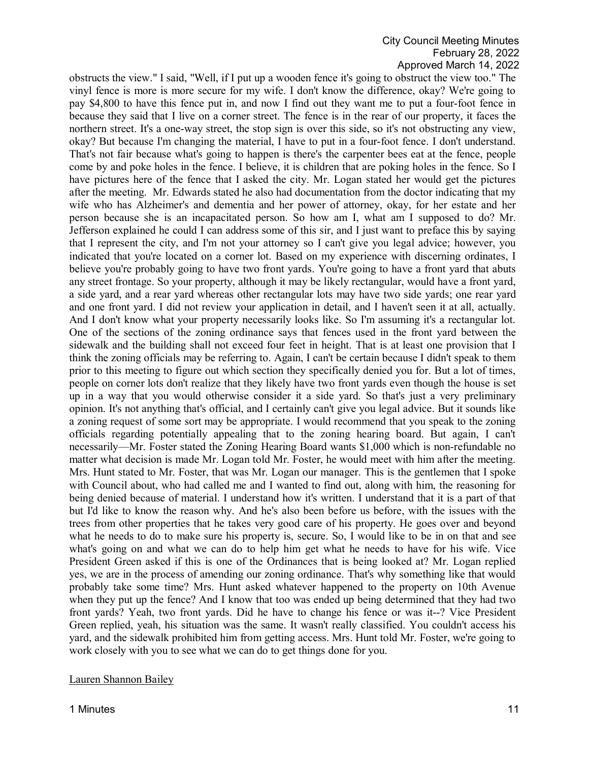obstructs the view." I said, "Well, if I put up a wooden fence it's going to obstruct the view too." The vinyl fence is more is more secure for my wife. I don't know the difference, okay? We're going to pay \$4,800 to have this fence put in, and now I find out they want me to put a four-foot fence in because they said that I live on a corner street. The fence is in the rear of our property, it faces the northern street. It's a one-way street, the stop sign is over this side, so it's not obstructing any view, okay? But because I'm changing the material, I have to put in a four-foot fence. I don't understand. That's not fair because what's going to happen is there's the carpenter bees eat at the fence, people come by and poke holes in the fence. I believe, it is children that are poking holes in the fence. So I have pictures here of the fence that I asked the city. Mr. Logan stated her would get the pictures after the meeting. Mr. Edwards stated he also had documentation from the doctor indicating that my wife who has Alzheimer's and dementia and her power of attorney, okay, for her estate and her person because she is an incapacitated person. So how am I, what am I supposed to do? Mr. Jefferson explained he could I can address some of this sir, and I just want to preface this by saying that I represent the city, and I'm not your attorney so I can't give you legal advice; however, you indicated that you're located on a corner lot. Based on my experience with discerning ordinates, I believe you're probably going to have two front yards. You're going to have a front yard that abuts any street frontage. So your property, although it may be likely rectangular, would have a front yard, a side yard, and a rear yard whereas other rectangular lots may have two side yards; one rear yard and one front yard. I did not review your application in detail, and I haven't seen it at all, actually. And I don't know what your property necessarily looks like. So I'm assuming it's a rectangular lot. One of the sections of the zoning ordinance says that fences used in the front yard between the sidewalk and the building shall not exceed four feet in height. That is at least one provision that I think the zoning officials may be referring to. Again, I can't be certain because I didn't speak to them prior to this meeting to figure out which section they specifically denied you for. But a lot of times, people on corner lots don't realize that they likely have two front yards even though the house is set up in a way that you would otherwise consider it a side yard. So that's just a very preliminary opinion. It's not anything that's official, and I certainly can't give you legal advice. But it sounds like a zoning request of some sort may be appropriate. I would recommend that you speak to the zoning officials regarding potentially appealing that to the zoning hearing board. But again, I can't necessarily—Mr. Foster stated the Zoning Hearing Board wants \$1,000 which is non-refundable no matter what decision is made Mr. Logan told Mr. Foster, he would meet with him after the meeting. Mrs. Hunt stated to Mr. Foster, that was Mr. Logan our manager. This is the gentlemen that I spoke with Council about, who had called me and I wanted to find out, along with him, the reasoning for being denied because of material. I understand how it's written. I understand that it is a part of that but I'd like to know the reason why. And he's also been before us before, with the issues with the trees from other properties that he takes very good care of his property. He goes over and beyond what he needs to do to make sure his property is, secure. So, I would like to be in on that and see what's going on and what we can do to help him get what he needs to have for his wife. Vice President Green asked if this is one of the Ordinances that is being looked at? Mr. Logan replied yes, we are in the process of amending our zoning ordinance. That's why something like that would probably take some time? Mrs. Hunt asked whatever happened to the property on 10th Avenue when they put up the fence? And I know that too was ended up being determined that they had two front yards? Yeah, two front yards. Did he have to change his fence or was it--? Vice President Green replied, yeah, his situation was the same. It wasn't really classified. You couldn't access his yard, and the sidewalk prohibited him from getting access. Mrs. Hunt told Mr. Foster, we're going to work closely with you to see what we can do to get things done for you.

#### Lauren Shannon Bailey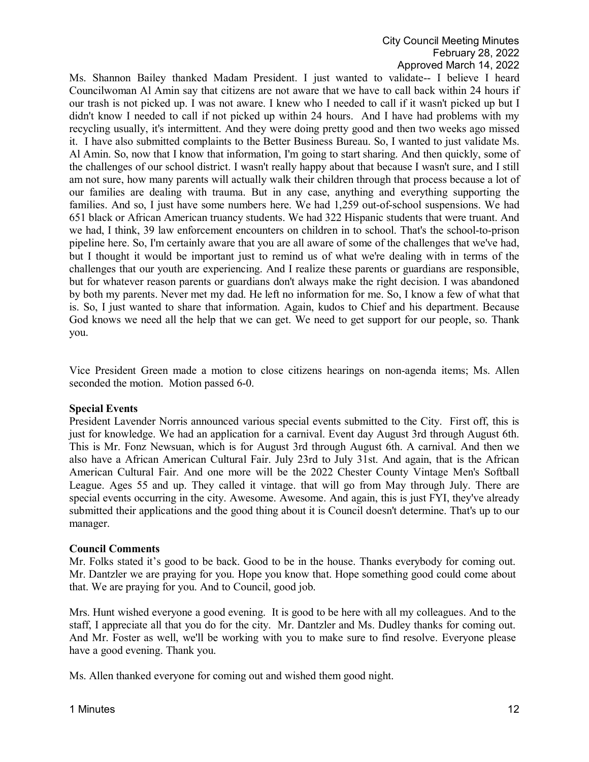Ms. Shannon Bailey thanked Madam President. I just wanted to validate-- I believe I heard Councilwoman Al Amin say that citizens are not aware that we have to call back within 24 hours if our trash is not picked up. I was not aware. I knew who I needed to call if it wasn't picked up but I didn't know I needed to call if not picked up within 24 hours. And I have had problems with my recycling usually, it's intermittent. And they were doing pretty good and then two weeks ago missed it. I have also submitted complaints to the Better Business Bureau. So, I wanted to just validate Ms. Al Amin. So, now that I know that information, I'm going to start sharing. And then quickly, some of the challenges of our school district. I wasn't really happy about that because I wasn't sure, and I still am not sure, how many parents will actually walk their children through that process because a lot of our families are dealing with trauma. But in any case, anything and everything supporting the families. And so, I just have some numbers here. We had 1,259 out-of-school suspensions. We had 651 black or African American truancy students. We had 322 Hispanic students that were truant. And we had, I think, 39 law enforcement encounters on children in to school. That's the school-to-prison pipeline here. So, I'm certainly aware that you are all aware of some of the challenges that we've had, but I thought it would be important just to remind us of what we're dealing with in terms of the challenges that our youth are experiencing. And I realize these parents or guardians are responsible, but for whatever reason parents or guardians don't always make the right decision. I was abandoned by both my parents. Never met my dad. He left no information for me. So, I know a few of what that is. So, I just wanted to share that information. Again, kudos to Chief and his department. Because God knows we need all the help that we can get. We need to get support for our people, so. Thank you.

Vice President Green made a motion to close citizens hearings on non-agenda items; Ms. Allen seconded the motion. Motion passed 6-0.

#### **Special Events**

President Lavender Norris announced various special events submitted to the City. First off, this is just for knowledge. We had an application for a carnival. Event day August 3rd through August 6th. This is Mr. Fonz Newsuan, which is for August 3rd through August 6th. A carnival. And then we also have a African American Cultural Fair. July 23rd to July 31st. And again, that is the African American Cultural Fair. And one more will be the 2022 Chester County Vintage Men's Softball League. Ages 55 and up. They called it vintage. that will go from May through July. There are special events occurring in the city. Awesome. Awesome. And again, this is just FYI, they've already submitted their applications and the good thing about it is Council doesn't determine. That's up to our manager.

# **Council Comments**

Mr. Folks stated it's good to be back. Good to be in the house. Thanks everybody for coming out. Mr. Dantzler we are praying for you. Hope you know that. Hope something good could come about that. We are praying for you. And to Council, good job.

Mrs. Hunt wished everyone a good evening. It is good to be here with all my colleagues. And to the staff, I appreciate all that you do for the city. Mr. Dantzler and Ms. Dudley thanks for coming out. And Mr. Foster as well, we'll be working with you to make sure to find resolve. Everyone please have a good evening. Thank you.

Ms. Allen thanked everyone for coming out and wished them good night.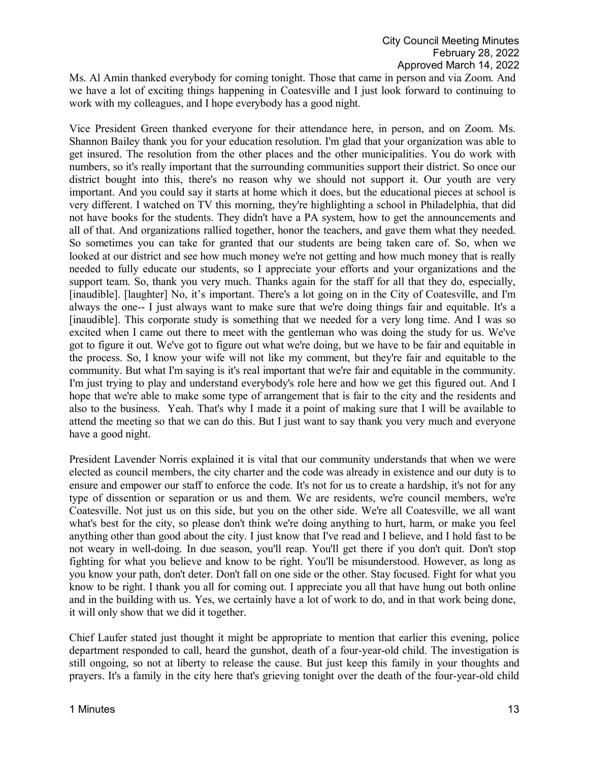Ms. Al Amin thanked everybody for coming tonight. Those that came in person and via Zoom. And we have a lot of exciting things happening in Coatesville and I just look forward to continuing to work with my colleagues, and I hope everybody has a good night.

Vice President Green thanked everyone for their attendance here, in person, and on Zoom. Ms. Shannon Bailey thank you for your education resolution. I'm glad that your organization was able to get insured. The resolution from the other places and the other municipalities. You do work with numbers, so it's really important that the surrounding communities support their district. So once our district bought into this, there's no reason why we should not support it. Our youth are very important. And you could say it starts at home which it does, but the educational pieces at school is very different. I watched on TV this morning, they're highlighting a school in Philadelphia, that did not have books for the students. They didn't have a PA system, how to get the announcements and all of that. And organizations rallied together, honor the teachers, and gave them what they needed. So sometimes you can take for granted that our students are being taken care of. So, when we looked at our district and see how much money we're not getting and how much money that is really needed to fully educate our students, so I appreciate your efforts and your organizations and the support team. So, thank you very much. Thanks again for the staff for all that they do, especially, [inaudible]. [laughter] No, it's important. There's a lot going on in the City of Coatesville, and I'm always the one-- I just always want to make sure that we're doing things fair and equitable. It's a [inaudible]. This corporate study is something that we needed for a very long time. And I was so excited when I came out there to meet with the gentleman who was doing the study for us. We've got to figure it out. We've got to figure out what we're doing, but we have to be fair and equitable in the process. So, I know your wife will not like my comment, but they're fair and equitable to the community. But what I'm saying is it's real important that we're fair and equitable in the community. I'm just trying to play and understand everybody's role here and how we get this figured out. And I hope that we're able to make some type of arrangement that is fair to the city and the residents and also to the business. Yeah. That's why I made it a point of making sure that I will be available to attend the meeting so that we can do this. But I just want to say thank you very much and everyone have a good night.

President Lavender Norris explained it is vital that our community understands that when we were elected as council members, the city charter and the code was already in existence and our duty is to ensure and empower our staff to enforce the code. It's not for us to create a hardship, it's not for any type of dissention or separation or us and them. We are residents, we're council members, we're Coatesville. Not just us on this side, but you on the other side. We're all Coatesville, we all want what's best for the city, so please don't think we're doing anything to hurt, harm, or make you feel anything other than good about the city. I just know that I've read and I believe, and I hold fast to be not weary in well-doing. In due season, you'll reap. You'll get there if you don't quit. Don't stop fighting for what you believe and know to be right. You'll be misunderstood. However, as long as you know your path, don't deter. Don't fall on one side or the other. Stay focused. Fight for what you know to be right. I thank you all for coming out. I appreciate you all that have hung out both online and in the building with us. Yes, we certainly have a lot of work to do, and in that work being done, it will only show that we did it together.

Chief Laufer stated just thought it might be appropriate to mention that earlier this evening, police department responded to call, heard the gunshot, death of a four-year-old child. The investigation is still ongoing, so not at liberty to release the cause. But just keep this family in your thoughts and prayers. It's a family in the city here that's grieving tonight over the death of the four-year-old child